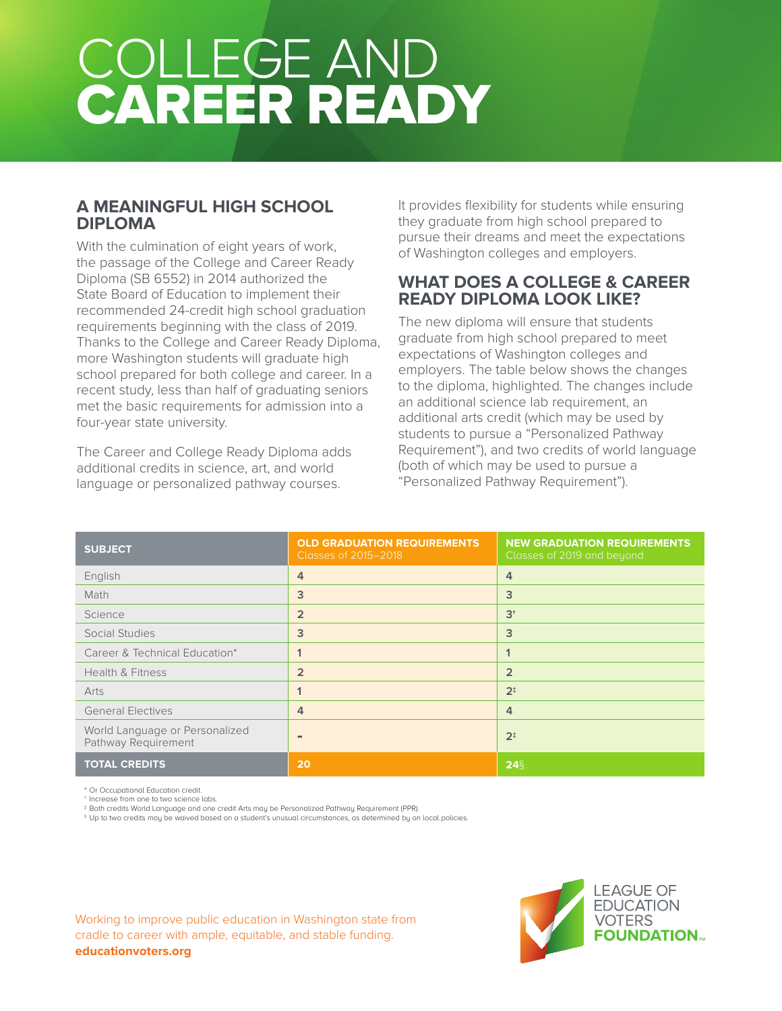# COLLEGE AND CAREER READY

### **A MEANINGFUL HIGH SCHOOL DIPLOMA**

With the culmination of eight years of work, the passage of the College and Career Ready Diploma (SB 6552) in 2014 authorized the State Board of Education to implement their recommended 24-credit high school graduation requirements beginning with the class of 2019. Thanks to the College and Career Ready Diploma, more Washington students will graduate high school prepared for both college and career. In a recent study, less than half of graduating seniors met the basic requirements for admission into a four-year state university.

The Career and College Ready Diploma adds additional credits in science, art, and world language or personalized pathway courses.

It provides flexibility for students while ensuring they graduate from high school prepared to pursue their dreams and meet the expectations of Washington colleges and employers.

#### **WHAT DOES A COLLEGE & CAREER READY DIPLOMA LOOK LIKE?**

The new diploma will ensure that students graduate from high school prepared to meet expectations of Washington colleges and employers. The table below shows the changes to the diploma, highlighted. The changes include an additional science lab requirement, an additional arts credit (which may be used by students to pursue a "Personalized Pathway Requirement"), and two credits of world language (both of which may be used to pursue a "Personalized Pathway Requirement").

| <b>SUBJECT</b>                                        | <b>OLD GRADUATION REQUIREMENTS</b><br>Classes of 2015-2018 | <b>NEW GRADUATION REQUIREMENTS</b><br>Classes of 2019 and beyond |
|-------------------------------------------------------|------------------------------------------------------------|------------------------------------------------------------------|
| English                                               | 4                                                          | $\overline{4}$                                                   |
| Math                                                  | 3                                                          | 3                                                                |
| Science                                               | $\overline{2}$                                             | $3+$                                                             |
| Social Studies                                        | 3                                                          | 3                                                                |
| Career & Technical Education*                         | $\mathbf 1$                                                | 1                                                                |
| <b>Health &amp; Fitness</b>                           | $\overline{2}$                                             | $\overline{2}$                                                   |
| Arts                                                  | 1                                                          | 2 <sup>†</sup>                                                   |
| <b>General Electives</b>                              | 4                                                          | 4                                                                |
| World Language or Personalized<br>Pathway Requirement | ٠                                                          | 2 <sup>†</sup>                                                   |
| <b>TOTAL CREDITS</b>                                  | 20                                                         | $24\frac{5}{3}$                                                  |

\* Or Occupational Education credit.

Increase from one to two science labs.

‡ Both credits World Language and one credit Arts may be Personalized Pathway Requirement (PPR).

 $\,{}^{\$}$  Up to two credits may be waived based on a student's unusual circumstances, as determined by on local policies.